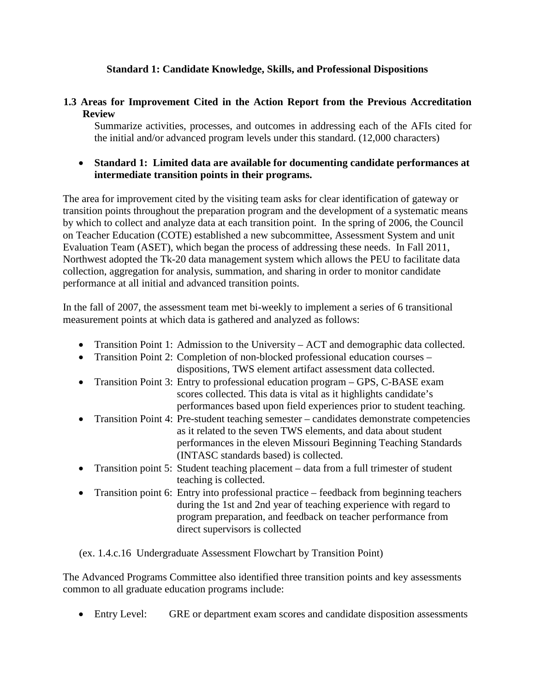### **Standard 1: Candidate Knowledge, Skills, and Professional Dispositions**

# **1.3 Areas for Improvement Cited in the Action Report from the Previous Accreditation Review**

Summarize activities, processes, and outcomes in addressing each of the AFIs cited for the initial and/or advanced program levels under this standard. (12,000 characters)

#### • **Standard 1: Limited data are available for documenting candidate performances at intermediate transition points in their programs.**

The area for improvement cited by the visiting team asks for clear identification of gateway or transition points throughout the preparation program and the development of a systematic means by which to collect and analyze data at each transition point. In the spring of 2006, the Council on Teacher Education (COTE) established a new subcommittee, Assessment System and unit Evaluation Team (ASET), which began the process of addressing these needs. In Fall 2011, Northwest adopted the Tk-20 data management system which allows the PEU to facilitate data collection, aggregation for analysis, summation, and sharing in order to monitor candidate performance at all initial and advanced transition points.

In the fall of 2007, the assessment team met bi-weekly to implement a series of 6 transitional measurement points at which data is gathered and analyzed as follows:

- Transition Point 1: Admission to the University ACT and demographic data collected.
- Transition Point 2: Completion of non-blocked professional education courses –
- dispositions, TWS element artifact assessment data collected. • Transition Point 3: Entry to professional education program – GPS, C-BASE exam
- scores collected. This data is vital as it highlights candidate's performances based upon field experiences prior to student teaching.
- Transition Point 4: Pre-student teaching semester candidates demonstrate competencies as it related to the seven TWS elements, and data about student performances in the eleven Missouri Beginning Teaching Standards (INTASC standards based) is collected.
- Transition point 5: Student teaching placement data from a full trimester of student teaching is collected.
- Transition point 6: Entry into professional practice feedback from beginning teachers during the 1st and 2nd year of teaching experience with regard to program preparation, and feedback on teacher performance from direct supervisors is collected

(ex. 1.4.c.16 Undergraduate Assessment Flowchart by Transition Point)

The Advanced Programs Committee also identified three transition points and key assessments common to all graduate education programs include:

• Entry Level: GRE or department exam scores and candidate disposition assessments